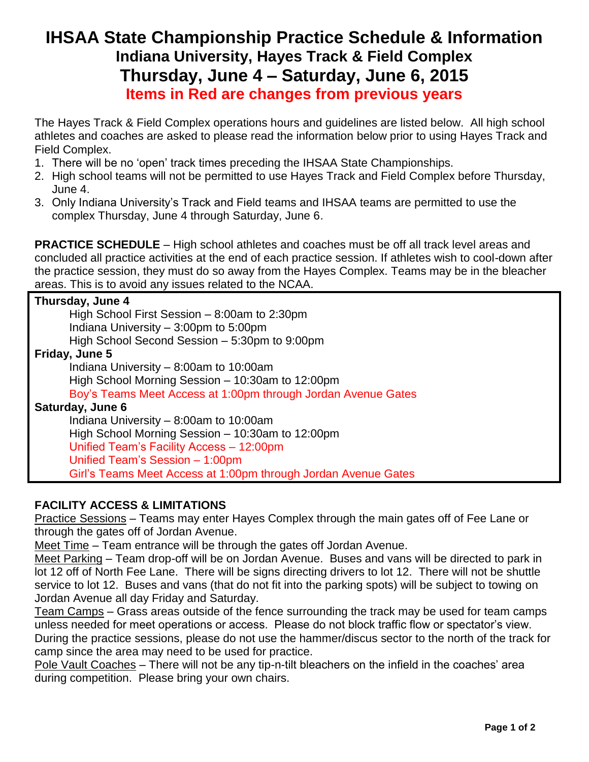## **IHSAA State Championship Practice Schedule & Information Indiana University, Hayes Track & Field Complex Thursday, June 4 – Saturday, June 6, 2015 Items in Red are changes from previous years**

The Hayes Track & Field Complex operations hours and guidelines are listed below. All high school athletes and coaches are asked to please read the information below prior to using Hayes Track and Field Complex.

- 1. There will be no 'open' track times preceding the IHSAA State Championships.
- 2. High school teams will not be permitted to use Hayes Track and Field Complex before Thursday, June 4.
- 3. Only Indiana University's Track and Field teams and IHSAA teams are permitted to use the complex Thursday, June 4 through Saturday, June 6.

**PRACTICE SCHEDULE** – High school athletes and coaches must be off all track level areas and concluded all practice activities at the end of each practice session. If athletes wish to cool-down after the practice session, they must do so away from the Hayes Complex. Teams may be in the bleacher areas. This is to avoid any issues related to the NCAA.

| Thursday, June 4                                               |
|----------------------------------------------------------------|
| High School First Session $-8:00$ am to 2:30pm                 |
| Indiana University – 3:00pm to 5:00pm                          |
| High School Second Session - 5:30pm to 9:00pm                  |
| Friday, June 5                                                 |
| Indiana University – 8:00am to 10:00am                         |
| High School Morning Session - 10:30am to 12:00pm               |
| Boy's Teams Meet Access at 1:00pm through Jordan Avenue Gates  |
| Saturday, June 6                                               |
| Indiana University $-8:00$ am to 10:00am                       |
| High School Morning Session - 10:30am to 12:00pm               |
| Unified Team's Facility Access - 12:00pm                       |
| Unified Team's Session - 1:00pm                                |
| Girl's Teams Meet Access at 1:00pm through Jordan Avenue Gates |

## **FACILITY ACCESS & LIMITATIONS**

Practice Sessions – Teams may enter Hayes Complex through the main gates off of Fee Lane or through the gates off of Jordan Avenue.

Meet Time – Team entrance will be through the gates off Jordan Avenue.

Meet Parking – Team drop-off will be on Jordan Avenue. Buses and vans will be directed to park in lot 12 off of North Fee Lane. There will be signs directing drivers to lot 12. There will not be shuttle service to lot 12. Buses and vans (that do not fit into the parking spots) will be subject to towing on Jordan Avenue all day Friday and Saturday.

Team Camps – Grass areas outside of the fence surrounding the track may be used for team camps unless needed for meet operations or access. Please do not block traffic flow or spectator's view. During the practice sessions, please do not use the hammer/discus sector to the north of the track for camp since the area may need to be used for practice.

Pole Vault Coaches – There will not be any tip-n-tilt bleachers on the infield in the coaches' area during competition. Please bring your own chairs.